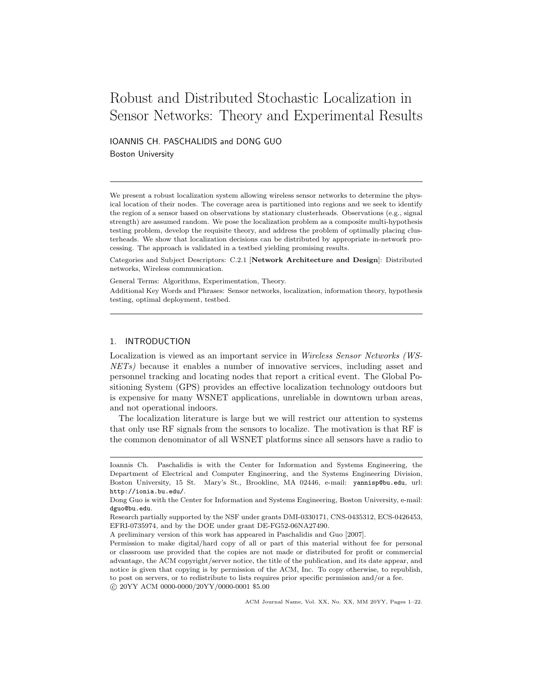# Robust and Distributed Stochastic Localization in Sensor Networks: Theory and Experimental Results

IOANNIS CH. PASCHALIDIS and DONG GUO Boston University

We present a robust localization system allowing wireless sensor networks to determine the physical location of their nodes. The coverage area is partitioned into regions and we seek to identify the region of a sensor based on observations by stationary clusterheads. Observations (e.g., signal strength) are assumed random. We pose the localization problem as a composite multi-hypothesis testing problem, develop the requisite theory, and address the problem of optimally placing clusterheads. We show that localization decisions can be distributed by appropriate in-network processing. The approach is validated in a testbed yielding promising results.

Categories and Subject Descriptors: C.2.1 [Network Architecture and Design]: Distributed networks, Wireless communication.

General Terms: Algorithms, Experimentation, Theory.

Additional Key Words and Phrases: Sensor networks, localization, information theory, hypothesis testing, optimal deployment, testbed.

# 1. INTRODUCTION

Localization is viewed as an important service in Wireless Sensor Networks (WS-NETs) because it enables a number of innovative services, including asset and personnel tracking and locating nodes that report a critical event. The Global Positioning System (GPS) provides an effective localization technology outdoors but is expensive for many WSNET applications, unreliable in downtown urban areas, and not operational indoors.

The localization literature is large but we will restrict our attention to systems that only use RF signals from the sensors to localize. The motivation is that RF is the common denominator of all WSNET platforms since all sensors have a radio to

ACM Journal Name, Vol. XX, No. XX, MM 20YY, Pages 1–22.

Ioannis Ch. Paschalidis is with the Center for Information and Systems Engineering, the Department of Electrical and Computer Engineering, and the Systems Engineering Division, Boston University, 15 St. Mary's St., Brookline, MA 02446, e-mail: yannisp@bu.edu, url: http://ionia.bu.edu/.

Dong Guo is with the Center for Information and Systems Engineering, Boston University, e-mail: dguo@bu.edu.

Research partially supported by the NSF under grants DMI-0330171, CNS-0435312, ECS-0426453, EFRI-0735974, and by the DOE under grant DE-FG52-06NA27490.

A preliminary version of this work has appeared in Paschalidis and Guo [2007].

Permission to make digital/hard copy of all or part of this material without fee for personal or classroom use provided that the copies are not made or distributed for profit or commercial advantage, the ACM copyright/server notice, the title of the publication, and its date appear, and notice is given that copying is by permission of the ACM, Inc. To copy otherwise, to republish, to post on servers, or to redistribute to lists requires prior specific permission and/or a fee. c 20YY ACM 0000-0000/20YY/0000-0001 \$5.00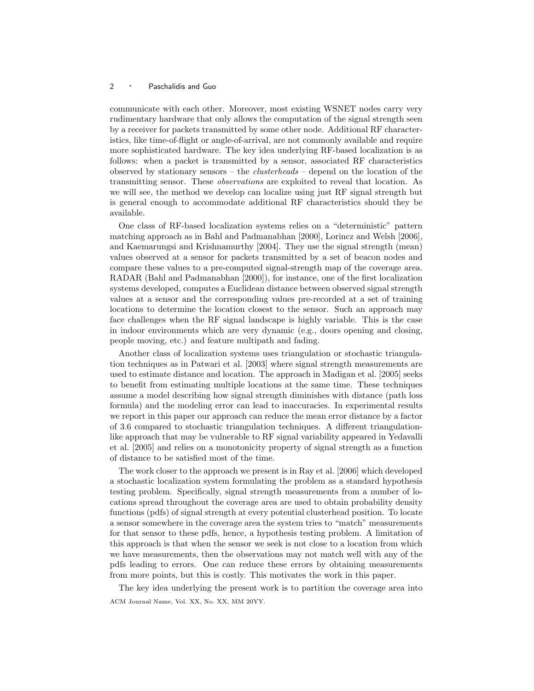communicate with each other. Moreover, most existing WSNET nodes carry very rudimentary hardware that only allows the computation of the signal strength seen by a receiver for packets transmitted by some other node. Additional RF characteristics, like time-of-flight or angle-of-arrival, are not commonly available and require more sophisticated hardware. The key idea underlying RF-based localization is as follows: when a packet is transmitted by a sensor, associated RF characteristics observed by stationary sensors – the *clusterheads* – depend on the location of the transmitting sensor. These observations are exploited to reveal that location. As we will see, the method we develop can localize using just RF signal strength but is general enough to accommodate additional RF characteristics should they be available.

One class of RF-based localization systems relies on a "deterministic" pattern matching approach as in Bahl and Padmanabhan [2000], Lorincz and Welsh [2006], and Kaemarungsi and Krishnamurthy [2004]. They use the signal strength (mean) values observed at a sensor for packets transmitted by a set of beacon nodes and compare these values to a pre-computed signal-strength map of the coverage area. RADAR (Bahl and Padmanabhan [2000]), for instance, one of the first localization systems developed, computes a Euclidean distance between observed signal strength values at a sensor and the corresponding values pre-recorded at a set of training locations to determine the location closest to the sensor. Such an approach may face challenges when the RF signal landscape is highly variable. This is the case in indoor environments which are very dynamic (e.g., doors opening and closing, people moving, etc.) and feature multipath and fading.

Another class of localization systems uses triangulation or stochastic triangulation techniques as in Patwari et al. [2003] where signal strength measurements are used to estimate distance and location. The approach in Madigan et al. [2005] seeks to benefit from estimating multiple locations at the same time. These techniques assume a model describing how signal strength diminishes with distance (path loss formula) and the modeling error can lead to inaccuracies. In experimental results we report in this paper our approach can reduce the mean error distance by a factor of 3.6 compared to stochastic triangulation techniques. A different triangulationlike approach that may be vulnerable to RF signal variability appeared in Yedavalli et al. [2005] and relies on a monotonicity property of signal strength as a function of distance to be satisfied most of the time.

The work closer to the approach we present is in Ray et al. [2006] which developed a stochastic localization system formulating the problem as a standard hypothesis testing problem. Specifically, signal strength measurements from a number of locations spread throughout the coverage area are used to obtain probability density functions (pdfs) of signal strength at every potential clusterhead position. To locate a sensor somewhere in the coverage area the system tries to "match" measurements for that sensor to these pdfs, hence, a hypothesis testing problem. A limitation of this approach is that when the sensor we seek is not close to a location from which we have measurements, then the observations may not match well with any of the pdfs leading to errors. One can reduce these errors by obtaining measurements from more points, but this is costly. This motivates the work in this paper.

The key idea underlying the present work is to partition the coverage area into ACM Journal Name, Vol. XX, No. XX, MM 20YY.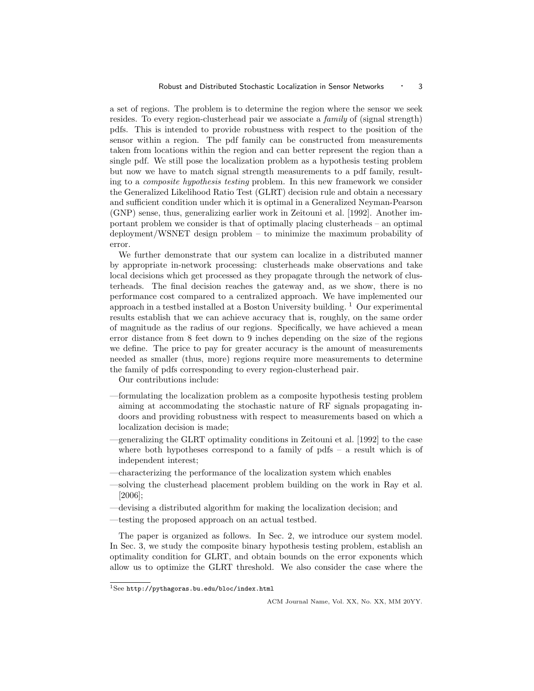a set of regions. The problem is to determine the region where the sensor we seek resides. To every region-clusterhead pair we associate a *family* of (signal strength) pdfs. This is intended to provide robustness with respect to the position of the sensor within a region. The pdf family can be constructed from measurements taken from locations within the region and can better represent the region than a single pdf. We still pose the localization problem as a hypothesis testing problem but now we have to match signal strength measurements to a pdf family, resulting to a composite hypothesis testing problem. In this new framework we consider the Generalized Likelihood Ratio Test (GLRT) decision rule and obtain a necessary and sufficient condition under which it is optimal in a Generalized Neyman-Pearson (GNP) sense, thus, generalizing earlier work in Zeitouni et al. [1992]. Another important problem we consider is that of optimally placing clusterheads – an optimal deployment/WSNET design problem – to minimize the maximum probability of error.

We further demonstrate that our system can localize in a distributed manner by appropriate in-network processing: clusterheads make observations and take local decisions which get processed as they propagate through the network of clusterheads. The final decision reaches the gateway and, as we show, there is no performance cost compared to a centralized approach. We have implemented our approach in a testbed installed at a Boston University building.  $1$  Our experimental results establish that we can achieve accuracy that is, roughly, on the same order of magnitude as the radius of our regions. Specifically, we have achieved a mean error distance from 8 feet down to 9 inches depending on the size of the regions we define. The price to pay for greater accuracy is the amount of measurements needed as smaller (thus, more) regions require more measurements to determine the family of pdfs corresponding to every region-clusterhead pair.

Our contributions include:

- —formulating the localization problem as a composite hypothesis testing problem aiming at accommodating the stochastic nature of RF signals propagating indoors and providing robustness with respect to measurements based on which a localization decision is made;
- —generalizing the GLRT optimality conditions in Zeitouni et al. [1992] to the case where both hypotheses correspond to a family of  $pdfs - a$  result which is of independent interest;
- —characterizing the performance of the localization system which enables
- —solving the clusterhead placement problem building on the work in Ray et al. [2006];
- —devising a distributed algorithm for making the localization decision; and
- —testing the proposed approach on an actual testbed.

The paper is organized as follows. In Sec. 2, we introduce our system model. In Sec. 3, we study the composite binary hypothesis testing problem, establish an optimality condition for GLRT, and obtain bounds on the error exponents which allow us to optimize the GLRT threshold. We also consider the case where the

 $^1\mathrm{See}$ http://pythagoras.bu.edu/bloc/index.html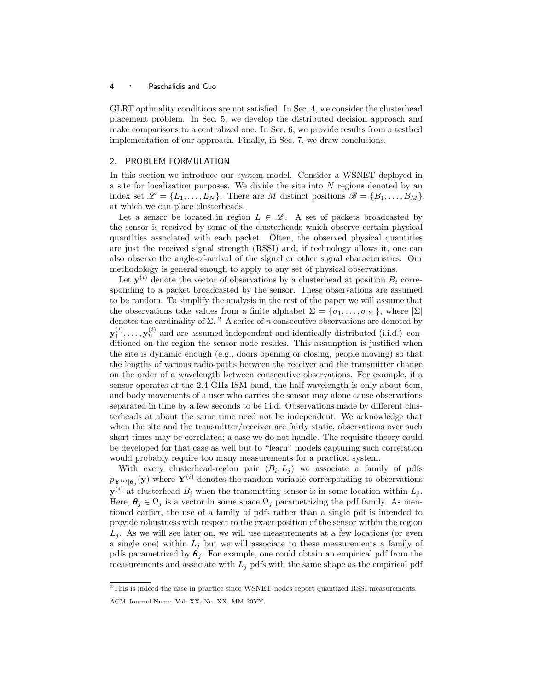GLRT optimality conditions are not satisfied. In Sec. 4, we consider the clusterhead placement problem. In Sec. 5, we develop the distributed decision approach and make comparisons to a centralized one. In Sec. 6, we provide results from a testbed implementation of our approach. Finally, in Sec. 7, we draw conclusions.

# 2. PROBLEM FORMULATION

In this section we introduce our system model. Consider a WSNET deployed in a site for localization purposes. We divide the site into N regions denoted by an index set  $\mathscr{L} = \{L_1, \ldots, L_N\}$ . There are M distinct positions  $\mathscr{B} = \{B_1, \ldots, B_M\}$ at which we can place clusterheads.

Let a sensor be located in region  $L \in \mathcal{L}$ . A set of packets broadcasted by the sensor is received by some of the clusterheads which observe certain physical quantities associated with each packet. Often, the observed physical quantities are just the received signal strength (RSSI) and, if technology allows it, one can also observe the angle-of-arrival of the signal or other signal characteristics. Our methodology is general enough to apply to any set of physical observations.

Let  $y^{(i)}$  denote the vector of observations by a clusterhead at position  $B_i$  corresponding to a packet broadcasted by the sensor. These observations are assumed to be random. To simplify the analysis in the rest of the paper we will assume that the observations take values from a finite alphabet  $\Sigma = {\sigma_1, \ldots, \sigma_{|\Sigma|}}$ , where  $|\Sigma|$ denotes the cardinality of  $\Sigma$ . <sup>2</sup> A series of n consecutive observations are denoted by  $\mathbf{y}_1^{(i)}, \ldots, \mathbf{y}_n^{(i)}$  and are assumed independent and identically distributed (i.i.d.) conditioned on the region the sensor node resides. This assumption is justified when the site is dynamic enough (e.g., doors opening or closing, people moving) so that the lengths of various radio-paths between the receiver and the transmitter change on the order of a wavelength between consecutive observations. For example, if a sensor operates at the 2.4 GHz ISM band, the half-wavelength is only about 6cm, and body movements of a user who carries the sensor may alone cause observations separated in time by a few seconds to be i.i.d. Observations made by different clusterheads at about the same time need not be independent. We acknowledge that when the site and the transmitter/receiver are fairly static, observations over such short times may be correlated; a case we do not handle. The requisite theory could be developed for that case as well but to "learn" models capturing such correlation would probably require too many measurements for a practical system.

With every clusterhead-region pair  $(B_i, L_j)$  we associate a family of pdfs  $p_{\mathbf{Y}^{(i)}|\theta_j}(\mathbf{y})$  where  $\mathbf{Y}^{(i)}$  denotes the random variable corresponding to observations  $\mathbf{y}^{(i)}$  at clusterhead  $B_i$  when the transmitting sensor is in some location within  $L_j$ . Here,  $\theta_j \in \Omega_j$  is a vector in some space  $\Omega_j$  parametrizing the pdf family. As mentioned earlier, the use of a family of pdfs rather than a single pdf is intended to provide robustness with respect to the exact position of the sensor within the region  $L_i$ . As we will see later on, we will use measurements at a few locations (or even a single one) within  $L_j$  but we will associate to these measurements a family of pdfs parametrized by  $\theta_i$ . For example, one could obtain an empirical pdf from the measurements and associate with  $L_j$  pdfs with the same shape as the empirical pdf

 $^{2}\mathrm{This}$  is indeed the case in practice since WSNET nodes report quantized RSSI measurements.

ACM Journal Name, Vol. XX, No. XX, MM 20YY.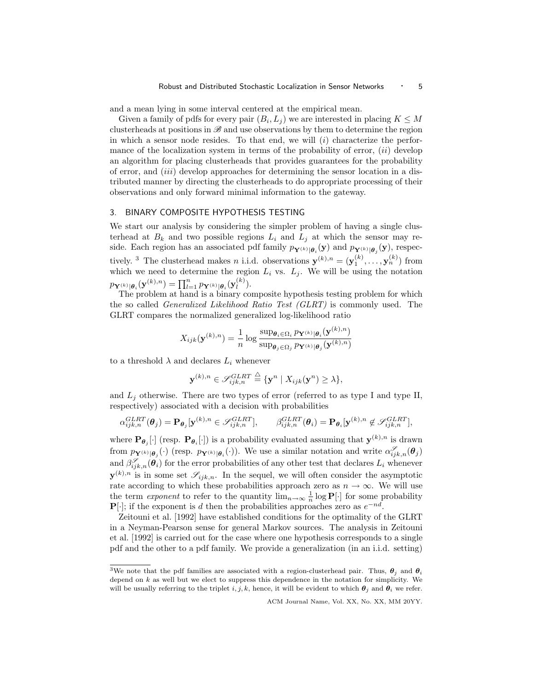and a mean lying in some interval centered at the empirical mean.

Given a family of pdfs for every pair  $(B_i, L_j)$  we are interested in placing  $K \leq M$ clusterheads at positions in  $\mathscr{B}$  and use observations by them to determine the region in which a sensor node resides. To that end, we will  $(i)$  characterize the performance of the localization system in terms of the probability of error,  $(ii)$  develop an algorithm for placing clusterheads that provides guarantees for the probability of error, and (iii) develop approaches for determining the sensor location in a distributed manner by directing the clusterheads to do appropriate processing of their observations and only forward minimal information to the gateway.

# 3. BINARY COMPOSITE HYPOTHESIS TESTING

We start our analysis by considering the simpler problem of having a single clusterhead at  $B_k$  and two possible regions  $L_i$  and  $L_j$  at which the sensor may reside. Each region has an associated pdf family  $p_{\mathbf{Y}^{(k)}|\theta_i}(\mathbf{y})$  and  $p_{\mathbf{Y}^{(k)}|\theta_j}(\mathbf{y})$ , respectively.<sup>3</sup> The clusterhead makes *n* i.i.d. observations  $\mathbf{y}^{(k),n} = (\mathbf{y}_1^{(k)}, \dots, \mathbf{y}_n^{(k)})$  from which we need to determine the region  $L_i$  vs.  $L_j$ . We will be using the notation  $p_{\mathbf{Y}^{(k)}|\boldsymbol{\theta}_i}(\mathbf{y}^{(k),n})=\prod_{l=1}^n {p}_{\mathbf{Y}^{(k)}|\boldsymbol{\theta}_i}(\mathbf{y}_l^{(k)})$  $\binom{n}{l}$ .

The problem at hand is a binary composite hypothesis testing problem for which the so called Generalized Likelihood Ratio Test (GLRT) is commonly used. The GLRT compares the normalized generalized log-likelihood ratio

$$
X_{ijk}(\mathbf{y}^{(k),n}) = \frac{1}{n} \log \frac{\sup_{\boldsymbol{\theta}_i \in \Omega_i} p_{\mathbf{Y}^{(k)}|\boldsymbol{\theta}_i}(\mathbf{y}^{(k),n})}{\sup_{\boldsymbol{\theta}_j \in \Omega_j} p_{\mathbf{Y}^{(k)}|\boldsymbol{\theta}_j}(\mathbf{y}^{(k),n})}
$$

to a threshold  $\lambda$  and declares  $L_i$  whenever

$$
\mathbf{y}^{(k),n} \in \mathscr{S}_{ijk,n}^{GLRT} \stackrel{\triangle}{=} \{\mathbf{y}^n \mid X_{ijk}(\mathbf{y}^n) \geq \lambda\},\
$$

and  $L_j$  otherwise. There are two types of error (referred to as type I and type II, respectively) associated with a decision with probabilities

$$
\alpha_{ijk,n}^{GLRT}(\theta_j) = \mathbf{P}_{\theta_j}[\mathbf{y}^{(k),n} \in \mathcal{S}_{ijk,n}^{GLRT}], \qquad \beta_{ijk,n}^{GLRT}(\theta_i) = \mathbf{P}_{\theta_i}[\mathbf{y}^{(k),n} \notin \mathcal{S}_{ijk,n}^{GLRT}],
$$

where  $\mathbf{P}_{\theta_j}[\cdot]$  (resp.  $\mathbf{P}_{\theta_i}[\cdot]$ ) is a probability evaluated assuming that  $\mathbf{y}^{(k),n}$  is drawn from  $p_{\mathbf{Y}^{(k)}|\theta_j}(\cdot)$  (resp.  $p_{\mathbf{Y}^{(k)}|\theta_i}(\cdot)$ ). We use a similar notation and write  $\alpha_{ijk,n}^{\mathscr{S}}(\theta_j)$ and  $\beta_{ijk,n}^{\mathscr{S}}(\theta_i)$  for the error probabilities of any other test that declares  $L_i$  whenever  $\mathbf{y}^{(k),n}$  is in some set  $\mathscr{S}_{ijk,n}$ . In the sequel, we will often consider the asymptotic rate according to which these probabilities approach zero as  $n \to \infty$ . We will use the term exponent to refer to the quantity  $\lim_{n\to\infty} \frac{1}{n} \log P[\cdot]$  for some probability **P**[·]; if the exponent is d then the probabilities approaches zero as  $e^{-nd}$ .

Zeitouni et al. [1992] have established conditions for the optimality of the GLRT in a Neyman-Pearson sense for general Markov sources. The analysis in Zeitouni et al. [1992] is carried out for the case where one hypothesis corresponds to a single pdf and the other to a pdf family. We provide a generalization (in an i.i.d. setting)

<sup>&</sup>lt;sup>3</sup>We note that the pdf families are associated with a region-clusterhead pair. Thus,  $\theta_j$  and  $\theta_i$ depend on  $k$  as well but we elect to suppress this dependence in the notation for simplicity. We will be usually referring to the triplet  $i, j, k$ , hence, it will be evident to which  $\theta_j$  and  $\theta_i$  we refer.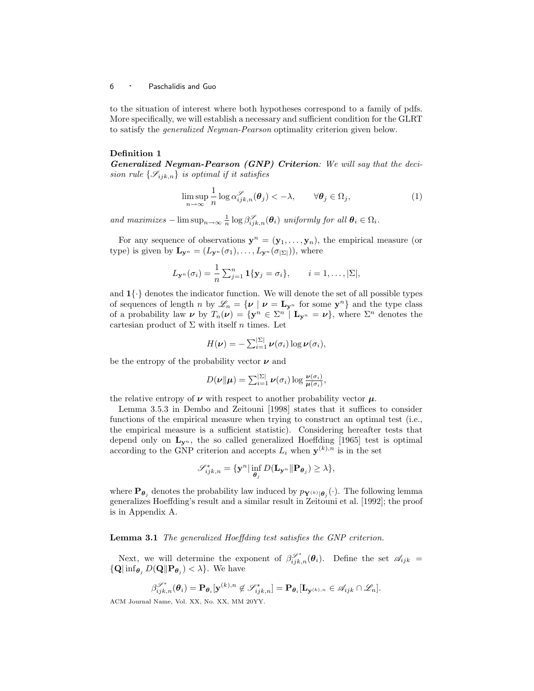to the situation of interest where both hypotheses correspond to a family of pdfs. More specifically, we will establish a necessary and sufficient condition for the GLRT to satisfy the generalized Neyman-Pearson optimality criterion given below.

# Definition 1

Generalized Neyman-Pearson (GNP) Criterion: We will say that the decision rule  $\{\mathcal{S}_{ijk,n}\}\$ is optimal if it satisfies

$$
\limsup_{n \to \infty} \frac{1}{n} \log \alpha_{ijk,n}^{\mathscr{S}}(\boldsymbol{\theta}_j) < -\lambda, \qquad \forall \boldsymbol{\theta}_j \in \Omega_j,
$$
\n(1)

and maximizes  $-\limsup_{n\to\infty}\frac{1}{n}\log\beta_{ijk,n}^{\mathscr{S}}(\theta_i)$  uniformly for all  $\theta_i \in \Omega_i$ .

For any sequence of observations  $y^n = (y_1, \ldots, y_n)$ , the empirical measure (or type) is given by  $\mathbf{L}_{\mathbf{y}^n} = (L_{\mathbf{y}^n}(\sigma_1), \ldots, L_{\mathbf{y}^n}(\sigma_{|\Sigma|}))$ , where

$$
L_{\mathbf{y}^n}(\sigma_i) = \frac{1}{n} \sum_{j=1}^n \mathbf{1}\{\mathbf{y}_j = \sigma_i\}, \qquad i = 1, \ldots, |\Sigma|,
$$

and  $1\{\cdot\}$  denotes the indicator function. We will denote the set of all possible types of sequences of length n by  $\mathscr{L}_n = {\nu \mid \nu = \mathbf{L}_{\mathbf{y}^n}}$  for some  $\mathbf{y}^n$  and the type class of a probability law  $\nu$  by  $T_n(\nu) = \{y^n \in \Sigma^n \mid L_{y^n} = \nu\}$ , where  $\Sigma^n$  denotes the cartesian product of  $\Sigma$  with itself n times. Let

$$
H(\boldsymbol{\nu}) = -\sum_{i=1}^{|\Sigma|} \boldsymbol{\nu}(\sigma_i) \log \boldsymbol{\nu}(\sigma_i),
$$

be the entropy of the probability vector  $\nu$  and

$$
D(\boldsymbol{\nu}||\boldsymbol{\mu}) = \sum_{i=1}^{|\Sigma|} \boldsymbol{\nu}(\sigma_i) \log \frac{\boldsymbol{\nu}(\sigma_i)}{\boldsymbol{\mu}(\sigma_i)},
$$

the relative entropy of  $\nu$  with respect to another probability vector  $\mu$ .

Lemma 3.5.3 in Dembo and Zeitouni [1998] states that it suffices to consider functions of the empirical measure when trying to construct an optimal test (i.e., the empirical measure is a sufficient statistic). Considering hereafter tests that depend only on  $\mathbf{L}_{\mathbf{y}^n}$ , the so called generalized Hoeffding [1965] test is optimal according to the GNP criterion and accepts  $L_i$  when  $\mathbf{y}^{(k),n}$  is in the set

$$
\mathscr{S}_{ijk,n}^* = \{ \mathbf{y}^n \vert \inf_{\theta_j} D(\mathbf{L}_{\mathbf{y}^n} \Vert \mathbf{P}_{\theta_j}) \ge \lambda \},\
$$

where  $\mathbf{P}_{\theta_j}$  denotes the probability law induced by  $p_{\mathbf{Y}^{(k)}|\theta_j}(\cdot)$ . The following lemma generalizes Hoeffding's result and a similar result in Zeitouni et al. [1992]; the proof is in Appendix A.

Lemma 3.1 The generalized Hoeffding test satisfies the GNP criterion.

Next, we will determine the exponent of  $\beta_{ijk,n}^{\mathscr{S}^*}(\theta_i)$ . Define the set  $\mathscr{A}_{ijk}$  $\{ \mathbf{Q} | \inf_{\boldsymbol{\theta}_j} D(\mathbf{Q} || \mathbf{P}_{\boldsymbol{\theta}_j}) < \lambda \}.$  We have

$$
\beta_{ijk,n}^{\mathscr{S}^*}(\pmb\theta_i)=\mathbf{P}_{\pmb\theta_i}[\mathbf{y}^{(k),n}\not\in \mathscr{S}^*_{ijk,n}]=\mathbf{P}_{\pmb\theta_i}[\mathbf{L}_{\mathbf{y}^{(k),n}}\in\mathscr{A}_{ijk}\cap\mathscr{L}_n].
$$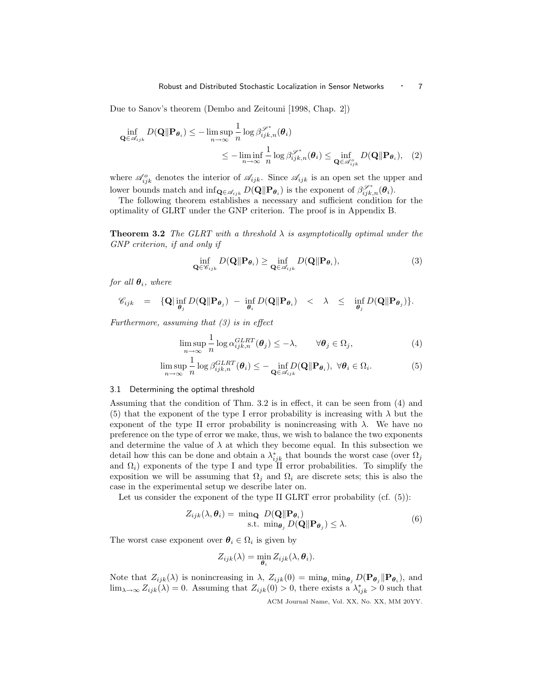Due to Sanov's theorem (Dembo and Zeitouni [1998, Chap. 2])

$$
\inf_{\mathbf{Q}\in\mathscr{A}_{ijk}} D(\mathbf{Q} \| \mathbf{P}_{\theta_i}) \le -\limsup_{n\to\infty} \frac{1}{n} \log \beta_{ijk,n}^{\mathscr{S}^*}(\theta_i)
$$
\n
$$
\le -\liminf_{n\to\infty} \frac{1}{n} \log \beta_{ijk,n}^{\mathscr{S}^*}(\theta_i) \le \inf_{\mathbf{Q}\in\mathscr{A}_{ijk}^{\mathscr{S}}} D(\mathbf{Q} \| \mathbf{P}_{\theta_i}), \quad (2)
$$

where  $\mathscr{A}_{ijk}^o$  denotes the interior of  $\mathscr{A}_{ijk}$ . Since  $\mathscr{A}_{ijk}$  is an open set the upper and lower bounds match and  $\inf_{\mathbf{Q}\in\mathscr{A}_{ijk}} D(\mathbf{Q}||\mathbf{P}_{\theta_i})$  is the exponent of  $\beta_{ijk,n}^{\mathscr{S}^*}(\theta_i)$ .

The following theorem establishes a necessary and sufficient condition for the optimality of GLRT under the GNP criterion. The proof is in Appendix B.

**Theorem 3.2** The GLRT with a threshold  $\lambda$  is asymptotically optimal under the GNP criterion, if and only if

$$
\inf_{\mathbf{Q}\in\mathscr{C}_{ijk}} D(\mathbf{Q}|\mathbf{P}_{\theta_i}) \ge \inf_{\mathbf{Q}\in\mathscr{A}_{ijk}} D(\mathbf{Q}|\mathbf{P}_{\theta_i}),
$$
\n(3)

for all  $\theta_i$ , where

$$
\mathscr{C}_{ijk} \quad = \quad \{ \mathbf{Q} | \inf_{\boldsymbol{\theta}_j} D(\mathbf{Q} | \mathbf{P}_{\boldsymbol{\theta}_j}) \ - \ \inf_{\boldsymbol{\theta}_i} D(\mathbf{Q} | \mathbf{P}_{\boldsymbol{\theta}_i}) \quad < \quad \lambda \quad \leq \quad \inf_{\boldsymbol{\theta}_j} D(\mathbf{Q} | \mathbf{P}_{\boldsymbol{\theta}_j}) \}.
$$

Furthermore, assuming that  $(3)$  is in effect

$$
\limsup_{n \to \infty} \frac{1}{n} \log \alpha_{ijk,n}^{GLRT}(\boldsymbol{\theta}_j) \leq -\lambda, \qquad \forall \boldsymbol{\theta}_j \in \Omega_j,
$$
\n(4)

$$
\limsup_{n \to \infty} \frac{1}{n} \log \beta_{ijk,n}^{GLRT}(\boldsymbol{\theta}_i) \le - \inf_{\mathbf{Q} \in \mathscr{A}_{ijk}} D(\mathbf{Q} \| \mathbf{P}_{\boldsymbol{\theta}_i}), \ \forall \boldsymbol{\theta}_i \in \Omega_i.
$$
 (5)

# 3.1 Determining the optimal threshold

Assuming that the condition of Thm. 3.2 is in effect, it can be seen from (4) and (5) that the exponent of the type I error probability is increasing with  $\lambda$  but the exponent of the type II error probability is nonincreasing with  $\lambda$ . We have no preference on the type of error we make, thus, we wish to balance the two exponents and determine the value of  $\lambda$  at which they become equal. In this subsection we detail how this can be done and obtain a  $\lambda_{ijk}^*$  that bounds the worst case (over  $\Omega_j$ ) and  $\Omega_i$ ) exponents of the type I and type II error probabilities. To simplify the exposition we will be assuming that  $\Omega_i$  and  $\Omega_i$  are discrete sets; this is also the case in the experimental setup we describe later on.

Let us consider the exponent of the type II GLRT error probability (cf.  $(5)$ ):

$$
Z_{ijk}(\lambda, \theta_i) = \min_{\mathbf{S}, \mathbf{t}} D(\mathbf{Q} \| \mathbf{P}_{\theta_i})
$$
  
s.t.  $\min_{\theta_j} D(\mathbf{Q} \| \mathbf{P}_{\theta_j}) \leq \lambda.$  (6)

The worst case exponent over  $\theta_i \in \Omega_i$  is given by

$$
Z_{ijk}(\lambda) = \min_{\boldsymbol{\theta}_i} Z_{ijk}(\lambda, \boldsymbol{\theta}_i).
$$

Note that  $Z_{ijk}(\lambda)$  is nonincreasing in  $\lambda$ ,  $Z_{ijk}(0) = \min_{\theta_i} \min_{\theta_j} D(\mathbf{P}_{\theta_j} || \mathbf{P}_{\theta_i})$ , and  $\lim_{\lambda \to \infty} Z_{ijk}(\lambda) = 0$ . Assuming that  $Z_{ijk}(0) > 0$ , there exists a  $\lambda^*_{ijk} > 0$  such that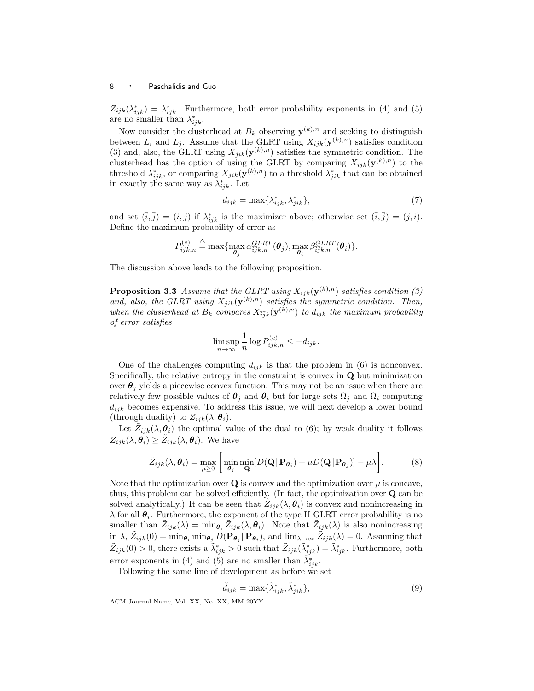$Z_{ijk}(\lambda_{ijk}^*) = \lambda_{ijk}^*$ . Furthermore, both error probability exponents in (4) and (5) are no smaller than  $\lambda^*_{ijk}$ .

Now consider the clusterhead at  $B_k$  observing  $\mathbf{y}^{(k),n}$  and seeking to distinguish between  $L_i$  and  $L_j$ . Assume that the GLRT using  $X_{ijk}(\mathbf{y}^{(k),n})$  satisfies condition (3) and, also, the GLRT using  $X_{jik}(\mathbf{y}^{(k),n})$  satisfies the symmetric condition. The clusterhead has the option of using the GLRT by comparing  $X_{ijk}(\mathbf{y}^{(k),n})$  to the threshold  $\lambda^*_{ijk}$ , or comparing  $X_{jik}(\mathbf{y}^{(k),n})$  to a threshold  $\lambda^*_{jik}$  that can be obtained in exactly the same way as  $\lambda^*_{ijk}$ . Let

$$
d_{ijk} = \max\{\lambda^*_{ijk}, \lambda^*_{jik}\},\tag{7}
$$

and set  $(\bar{i}, \bar{j}) = (i, j)$  if  $\lambda_{ijk}^*$  is the maximizer above; otherwise set  $(\bar{i}, \bar{j}) = (j, i)$ . Define the maximum probability of error as

$$
P_{ijk,n}^{(e)} \stackrel{\triangle}{=} \max \{ \max_{\boldsymbol{\theta}_{\bar{j}}} \alpha_{\bar{i}\bar{j}k,n}^{GLRT}(\boldsymbol{\theta}_{\bar{j}}), \max_{\boldsymbol{\theta}_{\bar{i}}} \beta_{\bar{i}\bar{j}k,n}^{GLRT}(\boldsymbol{\theta}_{\bar{i}}) \}.
$$

The discussion above leads to the following proposition.

**Proposition 3.3** Assume that the GLRT using  $X_{ijk}(\mathbf{y}^{(k),n})$  satisfies condition (3) and, also, the GLRT using  $X_{jik}(\mathbf{y}^{(k),n})$  satisfies the symmetric condition. Then, when the clusterhead at  $B_k$  compares  $X_{\bar{i}\bar{j}k}(\mathbf{y}^{(k),n})$  to  $d_{ijk}$  the maximum probability of error satisfies

$$
\limsup_{n \to \infty} \frac{1}{n} \log P_{ijk,n}^{(e)} \le -d_{ijk}.
$$

One of the challenges computing  $d_{ijk}$  is that the problem in (6) is nonconvex. Specifically, the relative entropy in the constraint is convex in Q but minimization over  $\theta_i$  yields a piecewise convex function. This may not be an issue when there are relatively few possible values of  $\theta_j$  and  $\theta_i$  but for large sets  $\Omega_j$  and  $\Omega_i$  computing  $d_{ijk}$  becomes expensive. To address this issue, we will next develop a lower bound (through duality) to  $Z_{ijk}(\lambda, \theta_i)$ .

Let  $\tilde{Z}_{ijk}(\lambda, \theta_i)$  the optimal value of the dual to (6); by weak duality it follows  $Z_{ijk}(\lambda, \theta_i) \ge \tilde{Z}_{ijk}(\lambda, \theta_i)$ . We have

$$
\tilde{Z}_{ijk}(\lambda, \theta_i) = \max_{\mu \ge 0} \left[ \min_{\theta_j} \min_{\mathbf{Q}} [D(\mathbf{Q} || \mathbf{P}_{\theta_i}) + \mu D(\mathbf{Q} || \mathbf{P}_{\theta_j})] - \mu \lambda \right].
$$
 (8)

Note that the optimization over  $\bf{Q}$  is convex and the optimization over  $\mu$  is concave, thus, this problem can be solved efficiently. (In fact, the optimization over Q can be solved analytically.) It can be seen that  $\tilde{Z}_{ijk}(\lambda, \theta_i)$  is convex and nonincreasing in  $\lambda$  for all  $\theta_i$ . Furthermore, the exponent of the type II GLRT error probability is no smaller than  $\tilde{Z}_{ijk}(\lambda) = \min_{\theta_i} \tilde{Z}_{ijk}(\lambda, \theta_i)$ . Note that  $\tilde{Z}_{ijk}(\lambda)$  is also nonincreasing  $\lim_{\lambda \to \infty} \tilde{Z}_{ijk}(0) = \min_{\theta_i} \min_{\theta_j} D(\mathbf{P}_{\theta_j} \| \mathbf{P}_{\theta_i})$ , and  $\lim_{\lambda \to \infty} \tilde{Z}_{ijk}(\lambda) = 0$ . Assuming that  $\tilde{Z}_{ijk}(0) > 0$ , there exists a  $\tilde{\lambda}_{ijk}^* > 0$  such that  $\tilde{Z}_{ijk}(\tilde{\lambda}_{ijk}^*) = \tilde{\lambda}_{ijk}^*$ . Furthermore, both error exponents in (4) and (5) are no smaller than  $\tilde{\lambda}_{ijk}^*$ .

Following the same line of development as before we set

$$
\tilde{d}_{ijk} = \max\{\tilde{\lambda}_{ijk}^*, \tilde{\lambda}_{jik}^*\},\tag{9}
$$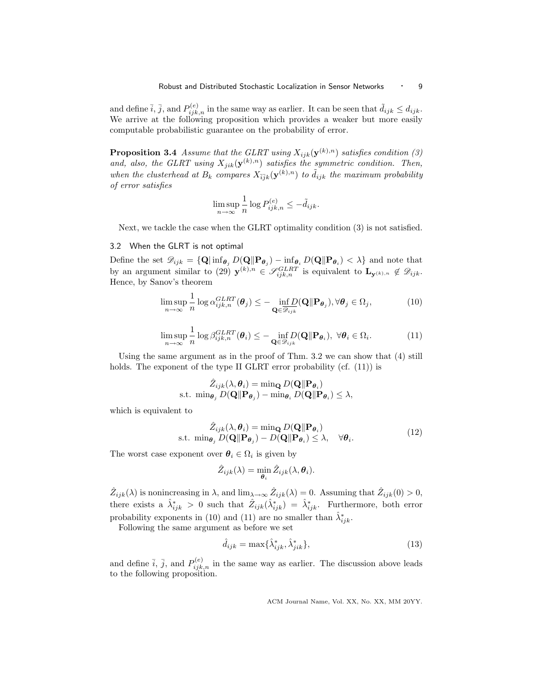and define  $\overline{i}$ ,  $\overline{j}$ , and  $P_{ijk,n}^{(e)}$  in the same way as earlier. It can be seen that  $\tilde{d}_{ijk} \leq d_{ijk}$ . We arrive at the following proposition which provides a weaker but more easily computable probabilistic guarantee on the probability of error.

**Proposition 3.4** Assume that the GLRT using  $X_{ijk}(\mathbf{y}^{(k),n})$  satisfies condition (3) and, also, the GLRT using  $X_{jik}(\mathbf{y}^{(k),n})$  satisfies the symmetric condition. Then, when the clusterhead at  $B_k$  compares  $X_{\bar{i}j k}(\mathbf{y}^{(k),n})$  to  $\tilde{d}_{ijk}$  the maximum probability of error satisfies

$$
\limsup_{n \to \infty} \frac{1}{n} \log P_{ijk,n}^{(e)} \le -\tilde{d}_{ijk}.
$$

Next, we tackle the case when the GLRT optimality condition (3) is not satisfied.

# 3.2 When the GLRT is not optimal

Define the set  $\mathscr{D}_{ijk} = {\mathbf{Q}} | \inf_{\boldsymbol{\theta}_j} D({\mathbf{Q}} || {\mathbf{P}}_{\boldsymbol{\theta}_j}) - \inf_{\boldsymbol{\theta}_i} D({\mathbf{Q}} || {\mathbf{P}}_{\boldsymbol{\theta}_i}) < \lambda$  and note that by an argument similar to (29)  $\mathbf{y}^{(k),n} \in \mathscr{S}_{ijk,n}^{GLRT}$  is equivalent to  $\mathbf{L}_{\mathbf{y}^{(k)},n} \notin \mathscr{D}_{ijk}$ . Hence, by Sanov's theorem

$$
\limsup_{n \to \infty} \frac{1}{n} \log \alpha_{ijk,n}^{GLRT}(\boldsymbol{\theta}_j) \le - \inf_{\mathbf{Q} \in \overline{\mathscr{D}}_{ijk}} (\mathbf{Q} \| \mathbf{P}_{\boldsymbol{\theta}_j}), \forall \boldsymbol{\theta}_j \in \Omega_j,
$$
\n(10)

$$
\limsup_{n \to \infty} \frac{1}{n} \log \beta_{ijk,n}^{GLRT}(\boldsymbol{\theta}_i) \le - \inf_{\mathbf{Q} \in \mathcal{D}_{ijk}} D(\mathbf{Q} \| \mathbf{P}_{\boldsymbol{\theta}_i}), \ \forall \boldsymbol{\theta}_i \in \Omega_i.
$$
 (11)

Using the same argument as in the proof of Thm. 3.2 we can show that (4) still holds. The exponent of the type II GLRT error probability (cf.  $(11)$ ) is

$$
\hat{Z}_{ijk}(\lambda, \pmb{\theta}_i) = \min_{\mathbf{Q}} D(\mathbf{Q} \| \mathbf{P}_{\pmb{\theta}_i})
$$
s.t. 
$$
\min_{\pmb{\theta}_j} D(\mathbf{Q} \| \mathbf{P}_{\pmb{\theta}_j}) - \min_{\pmb{\theta}_i} D(\mathbf{Q} \| \mathbf{P}_{\pmb{\theta}_i}) \leq \lambda,
$$

which is equivalent to

$$
\hat{Z}_{ijk}(\lambda, \theta_i) = \min_{\mathbf{Q}} D(\mathbf{Q}||\mathbf{P}_{\theta_i})
$$
  
s.t.  $\min_{\theta_j} D(\mathbf{Q}||\mathbf{P}_{\theta_j}) - D(\mathbf{Q}||\mathbf{P}_{\theta_i}) \leq \lambda, \quad \forall \theta_i.$  (12)

The worst case exponent over  $\theta_i \in \Omega_i$  is given by

$$
\hat{Z}_{ijk}(\lambda) = \min_{\boldsymbol{\theta}_i} \hat{Z}_{ijk}(\lambda, \boldsymbol{\theta}_i).
$$

 $\hat{Z}_{ijk}(\lambda)$  is nonincreasing in  $\lambda$ , and  $\lim_{\lambda\to\infty} \hat{Z}_{ijk}(\lambda) = 0$ . Assuming that  $\hat{Z}_{ijk}(0) > 0$ , there exists a  $\hat{\lambda}_{ijk}^* > 0$  such that  $\hat{Z}_{ijk}(\hat{\lambda}_{ijk}^*) = \hat{\lambda}_{ijk}^*$ . Furthermore, both error probability exponents in (10) and (11) are no smaller than  $\hat{\lambda}_{ijk}^*$ .

Following the same argument as before we set

$$
\hat{d}_{ijk} = \max\{\hat{\lambda}_{ijk}^*, \hat{\lambda}_{jik}^*\},\tag{13}
$$

and define  $\bar{i}$ ,  $\bar{j}$ , and  $P_{ijk,n}^{(e)}$  in the same way as earlier. The discussion above leads to the following proposition.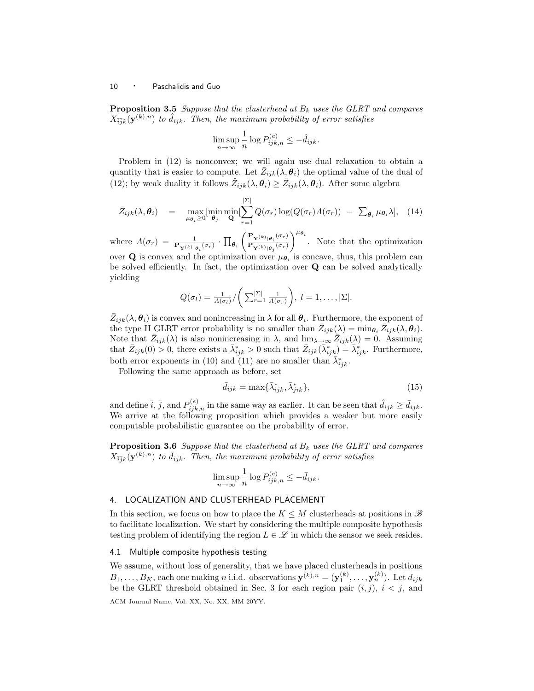**Proposition 3.5** Suppose that the clusterhead at  $B_k$  uses the GLRT and compares  $X_{\bar{i}\bar{j}k}(\mathbf{y}^{(k),n})$  to  $\hat{d}_{ijk}$ . Then, the maximum probability of error satisfies

$$
\limsup_{n \to \infty} \frac{1}{n} \log P_{ijk,n}^{(e)} \le -\hat{d}_{ijk}.
$$

Problem in (12) is nonconvex; we will again use dual relaxation to obtain a quantity that is easier to compute. Let  $\bar{Z}_{ijk}(\lambda, \theta_i)$  the optimal value of the dual of (12); by weak duality it follows  $\hat{Z}_{ijk}(\lambda, \theta_i) \geq \bar{Z}_{ijk}(\lambda, \theta_i)$ . After some algebra

$$
\bar{Z}_{ijk}(\lambda, \theta_i) = \max_{\mu_{\theta_i} \geq 0} [\min_{\theta_j} \min_{\mathbf{Q}} [\sum_{r=1}^{|\Sigma|} Q(\sigma_r) \log(Q(\sigma_r) A(\sigma_r)) - \sum_{\theta_i} \mu_{\theta_i} \lambda], \quad (14)
$$

where  $A(\sigma_r) = \frac{1}{\mathbf{P}_{\mathbf{Y}^{(k)}|\theta_i}(\sigma_r)} \cdot \prod_{\theta_i}$  $\int \frac{\mathbf{P}_{\mathbf{Y}}(k)}{|\theta_i|}(\sigma_r)$  $\mathrm{P}_{\mathbf{Y}^{(k)}|\bm{\theta}_j}(\sigma_r)$  $\int^{\mu_{\theta_i}}$ . Note that the optimization over Q is convex and the optimization over  $\mu_{\theta_i}$  is concave, thus, this problem can be solved efficiently. In fact, the optimization over Q can be solved analytically yielding

$$
Q(\sigma_l) = \frac{1}{A(\sigma_l)} / \left( \sum_{r=1}^{\vert \Sigma \vert} \frac{1}{A(\sigma_r)} \right), l = 1, \ldots, \vert \Sigma \vert.
$$

 $\bar{Z}_{ijk}(\lambda,\theta_i)$  is convex and nonincreasing in  $\lambda$  for all  $\theta_i$ . Furthermore, the exponent of the type II GLRT error probability is no smaller than  $\bar{Z}_{ijk}(\lambda) = \min_{\theta_i} \bar{Z}_{ijk}(\lambda, \theta_i)$ . Note that  $\bar{Z}_{ijk}(\lambda)$  is also nonincreasing in  $\lambda$ , and  $\lim_{\lambda\to\infty} \bar{Z}_{ijk}(\lambda) = 0$ . Assuming that  $\bar{Z}_{ijk}(0) > 0$ , there exists a  $\bar{\lambda}_{ijk}^* > 0$  such that  $\bar{Z}_{ijk}(\bar{\lambda}_{ijk}^*) = \bar{\lambda}_{ijk}^*$ . Furthermore, both error exponents in (10) and (11) are no smaller than  $\bar{\lambda}_{ijk}^*$ .

Following the same approach as before, set

$$
\bar{d}_{ijk} = \max\{\bar{\lambda}_{ijk}^*, \bar{\lambda}_{jik}^*\},\tag{15}
$$

and define  $\bar{i}$ ,  $\bar{j}$ , and  $P_{ijk,n}^{(e)}$  in the same way as earlier. It can be seen that  $\hat{d}_{ijk} \ge \bar{d}_{ijk}$ . We arrive at the following proposition which provides a weaker but more easily computable probabilistic guarantee on the probability of error.

**Proposition 3.6** Suppose that the clusterhead at  $B_k$  uses the GLRT and compares  $X_{\bar{i}jk}(\mathbf{y}^{(k),n})$  to  $\bar{d}_{ijk}$ . Then, the maximum probability of error satisfies

$$
\limsup_{n \to \infty} \frac{1}{n} \log P_{ijk,n}^{(e)} \le -\bar{d}_{ijk}.
$$

# 4. LOCALIZATION AND CLUSTERHEAD PLACEMENT

In this section, we focus on how to place the  $K \leq M$  clusterheads at positions in  $\mathscr{B}$ to facilitate localization. We start by considering the multiple composite hypothesis testing problem of identifying the region  $L \in \mathcal{L}$  in which the sensor we seek resides.

# 4.1 Multiple composite hypothesis testing

We assume, without loss of generality, that we have placed clusterheads in positions  $B_1, \ldots, B_K$ , each one making n i.i.d. observations  $\mathbf{y}^{(k),n} = (\mathbf{y}_1^{(k)}, \ldots, \mathbf{y}_n^{(k)})$ . Let  $d_{ijk}$ be the GLRT threshold obtained in Sec. 3 for each region pair  $(i, j)$ ,  $i < j$ , and ACM Journal Name, Vol. XX, No. XX, MM 20YY.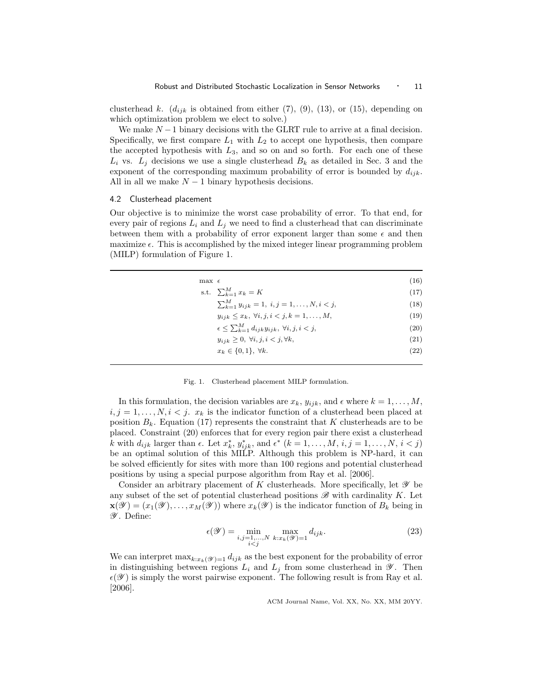clusterhead k.  $(d_{ijk}$  is obtained from either (7), (9), (13), or (15), depending on which optimization problem we elect to solve.)

We make  $N-1$  binary decisions with the GLRT rule to arrive at a final decision. Specifically, we first compare  $L_1$  with  $L_2$  to accept one hypothesis, then compare the accepted hypothesis with  $L_3$ , and so on and so forth. For each one of these  $L_i$  vs.  $L_j$  decisions we use a single clusterhead  $B_k$  as detailed in Sec. 3 and the exponent of the corresponding maximum probability of error is bounded by  $d_{ijk}$ . All in all we make  $N-1$  binary hypothesis decisions.

## 4.2 Clusterhead placement

Our objective is to minimize the worst case probability of error. To that end, for every pair of regions  $L_i$  and  $L_j$  we need to find a clusterhead that can discriminate between them with a probability of error exponent larger than some  $\epsilon$  and then maximize  $\epsilon$ . This is accomplished by the mixed integer linear programming problem (MILP) formulation of Figure 1.

| max $\epsilon$                                                         | (16) |
|------------------------------------------------------------------------|------|
| s.t. $\sum_{k=1}^{M} x_k = K$                                          | (17) |
| $\sum_{k=1}^{M} y_{ijk} = 1, i, j = 1, \ldots, N, i < j,$              | (18) |
| $y_{ijk} \leq x_k, \ \forall i, j, i < j, k = 1, \dots, M,$            | (19) |
| $\epsilon \leq \sum_{k=1}^{M} d_{ijk} y_{ijk}, \ \forall i, j, i < j,$ | (20) |
| $y_{ijk} \geq 0, \ \forall i, j, i < j, \forall k,$                    | (21) |
| $x_k \in \{0, 1\}, \forall k.$                                         | (22) |
|                                                                        |      |

Fig. 1. Clusterhead placement MILP formulation.

In this formulation, the decision variables are  $x_k$ ,  $y_{ijk}$ , and  $\epsilon$  where  $k = 1, \ldots, M$ ,  $i, j = 1, \ldots, N, i < j$ .  $x_k$  is the indicator function of a clusterhead been placed at position  $B_k$ . Equation (17) represents the constraint that K clusterheads are to be placed. Constraint (20) enforces that for every region pair there exist a clusterhead k with  $d_{ijk}$  larger than  $\epsilon$ . Let  $x_k^*$ ,  $y_{ijk}^*$ , and  $\epsilon^*$   $(k = 1, \ldots, M, i, j = 1, \ldots, N, i < j)$ be an optimal solution of this MILP. Although this problem is NP-hard, it can be solved efficiently for sites with more than 100 regions and potential clusterhead positions by using a special purpose algorithm from Ray et al. [2006].

Consider an arbitrary placement of K clusterheads. More specifically, let  $\mathscr Y$  be any subset of the set of potential clusterhead positions  $\mathscr B$  with cardinality K. Let  $\mathbf{x}(\mathscr{Y}) = (x_1(\mathscr{Y}), \ldots, x_M(\mathscr{Y}))$  where  $x_k(\mathscr{Y})$  is the indicator function of  $B_k$  being in  $\mathscr Y$ . Define:

$$
\epsilon(\mathscr{Y}) = \min_{\substack{i,j=1,\ldots,N \\ i < j}} \max_{k:x_k(\mathscr{Y})=1} d_{ijk}.\tag{23}
$$

We can interpret  $\max_{k:x_k(\mathscr{Y})=1} d_{ijk}$  as the best exponent for the probability of error in distinguishing between regions  $L_i$  and  $L_j$  from some clusterhead in  $\mathscr Y$ . Then  $\epsilon(\mathscr{Y})$  is simply the worst pairwise exponent. The following result is from Ray et al. [2006].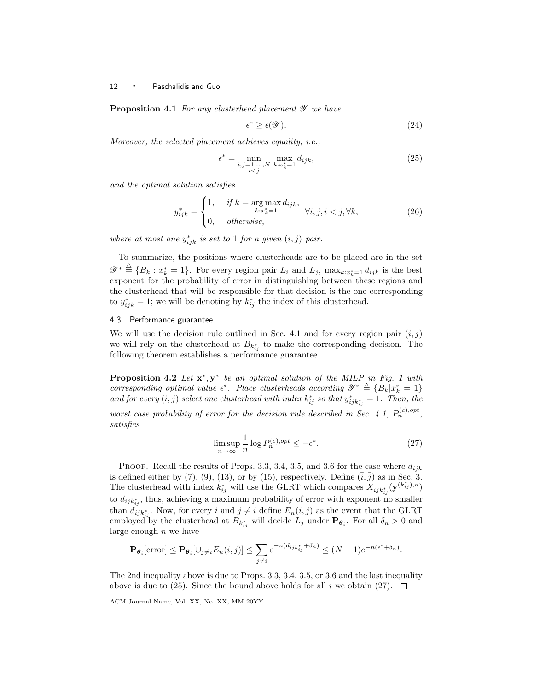**Proposition 4.1** For any clusterhead placement  $\mathscr Y$  we have

$$
\epsilon^* \ge \epsilon(\mathscr{Y}).\tag{24}
$$

Moreover, the selected placement achieves equality; i.e.,

$$
\epsilon^* = \min_{\substack{i,j=1,\dots,N \\ i < j}} \max_{k:x_k^* = 1} d_{ijk},\tag{25}
$$

and the optimal solution satisfies

$$
y_{ijk}^* = \begin{cases} 1, & \text{if } k = \arg\max_{k:x_k^* = 1} d_{ijk}, \\ 0, & \text{otherwise}, \end{cases} \quad \forall i, j, i < j, \forall k,\tag{26}
$$

where at most one  $y_{ijk}^*$  is set to 1 for a given  $(i, j)$  pair.

To summarize, the positions where clusterheads are to be placed are in the set  $\mathscr{Y}^* \stackrel{\triangle}{=} \{B_k : x_k^* = 1\}.$  For every region pair  $L_i$  and  $L_j$ ,  $\max_{k: x_k^* = 1} d_{ijk}$  is the best exponent for the probability of error in distinguishing between these regions and the clusterhead that will be responsible for that decision is the one corresponding to  $y_{ijk}^* = 1$ ; we will be denoting by  $k_{ij}^*$  the index of this clusterhead.

#### 4.3 Performance guarantee

We will use the decision rule outlined in Sec. 4.1 and for every region pair  $(i, j)$ we will rely on the clusterhead at  $B_{k_{ij}^*}$  to make the corresponding decision. The following theorem establishes a performance guarantee.

**Proposition 4.2** Let  $x^*$ ,  $y^*$  be an optimal solution of the MILP in Fig. 1 with corresponding optimal value  $\epsilon^*$ . Place clusterheads according  $\mathscr{Y}^* \triangleq \{B_k | x_k^* = 1\}$ and for every  $(i, j)$  select one clusterhead with index  $k_{ij}^*$  so that  $y_{ijk_{ij}^*}^* = 1$ . Then, the

worst case probability of error for the decision rule described in Sec. 4.1,  $P_n^{(e), opt}$ , satisfies

$$
\limsup_{n \to \infty} \frac{1}{n} \log P_n^{(e), opt} \le -\epsilon^*.
$$
\n(27)

**PROOF.** Recall the results of Props. 3.3, 3.4, 3.5, and 3.6 for the case where  $d_{ijk}$ is defined either by (7), (9), (13), or by (15), respectively. Define  $(\overline{i}, \overline{j})$  as in Sec. 3. The clusterhead with index  $k_{ij}^*$  will use the GLRT which compares  $X_{\bar{i}jk_{ij}^*}(\mathbf{y}^{(k_{ij}^*),n})$ to  $d_{ijk_{ij}^*}$ , thus, achieving a maximum probability of error with exponent no smaller than  $d_{ijk_{ij}^*}$ . Now, for every i and  $j \neq i$  define  $E_n(i, j)$  as the event that the GLRT employed by the clusterhead at  $B_{k_{ij}^*}$  will decide  $L_j$  under  $\mathbf{P}_{\theta_i}$ . For all  $\delta_n > 0$  and large enough  $n$  we have

$$
\mathbf{P}_{\theta_i}[\text{error}] \leq \mathbf{P}_{\theta_i}[\cup_{j \neq i} E_n(i,j)] \leq \sum_{j \neq i} e^{-n(d_{ijk_{ij}^*} + \delta_n)} \leq (N-1)e^{-n(\epsilon^* + \delta_n)}.
$$

The 2nd inequality above is due to Props. 3.3, 3.4, 3.5, or 3.6 and the last inequality above is due to (25). Since the bound above holds for all i we obtain (27).  $\Box$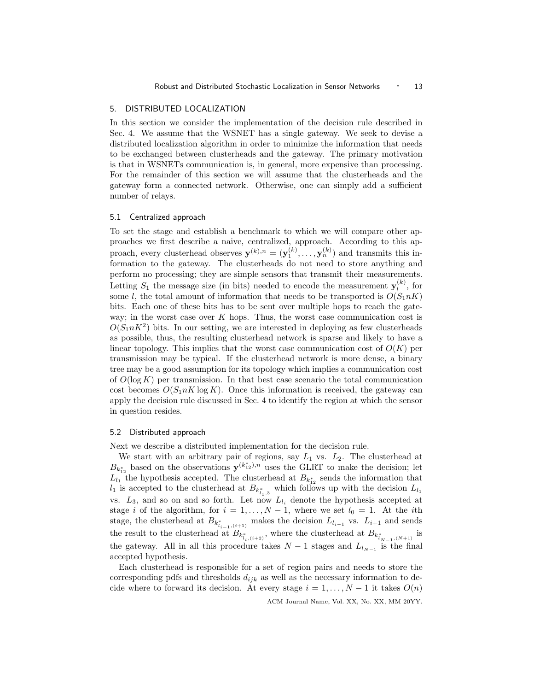# 5. DISTRIBUTED LOCALIZATION

In this section we consider the implementation of the decision rule described in Sec. 4. We assume that the WSNET has a single gateway. We seek to devise a distributed localization algorithm in order to minimize the information that needs to be exchanged between clusterheads and the gateway. The primary motivation is that in WSNETs communication is, in general, more expensive than processing. For the remainder of this section we will assume that the clusterheads and the gateway form a connected network. Otherwise, one can simply add a sufficient number of relays.

# 5.1 Centralized approach

To set the stage and establish a benchmark to which we will compare other approaches we first describe a naive, centralized, approach. According to this approach, every clusterhead observes  $\mathbf{y}^{(k),n} = (\mathbf{y}_1^{(k)}, \dots, \mathbf{y}_n^{(k)})$  and transmits this information to the gateway. The clusterheads do not need to store anything and perform no processing; they are simple sensors that transmit their measurements. Letting  $S_1$  the message size (in bits) needed to encode the measurement  $y_l^{(k)}$  $\iota^{(k)}$ , for some l, the total amount of information that needs to be transported is  $O(S_1 nK)$ bits. Each one of these bits has to be sent over multiple hops to reach the gateway; in the worst case over  $K$  hops. Thus, the worst case communication cost is  $O(S_1 nK^2)$  bits. In our setting, we are interested in deploying as few clusterheads as possible, thus, the resulting clusterhead network is sparse and likely to have a linear topology. This implies that the worst case communication cost of  $O(K)$  per transmission may be typical. If the clusterhead network is more dense, a binary tree may be a good assumption for its topology which implies a communication cost of  $O(\log K)$  per transmission. In that best case scenario the total communication cost becomes  $O(S_1 n K \log K)$ . Once this information is received, the gateway can apply the decision rule discussed in Sec. 4 to identify the region at which the sensor in question resides.

#### 5.2 Distributed approach

Next we describe a distributed implementation for the decision rule.

We start with an arbitrary pair of regions, say  $L_1$  vs.  $L_2$ . The clusterhead at  $B_{k_{12}^*}$  based on the observations  $\mathbf{y}^{(k_{12}^*) ,n}$  uses the GLRT to make the decision; let  $L_{l_1}$  the hypothesis accepted. The clusterhead at  $B_{k_{12}^*}$  sends the information that  $l_1$  is accepted to the clusterhead at  $B_{k_{l_1,3}^*}$  which follows up with the decision  $L_{l_1}$ vs.  $L_3$ , and so on and so forth. Let now  $L_{l_i}$  denote the hypothesis accepted at stage i of the algorithm, for  $i = 1, ..., N - 1$ , where we set  $l_0 = 1$ . At the ith stage, the clusterhead at  $B_{k_{l_{i-1},(i+1)}^*}$  makes the decision  $L_{l_{i-1}}$  vs.  $L_{i+1}$  and sends the result to the clusterhead at  $B_{k_{l_i,(i+2)}^*}$ , where the clusterhead at  $B_{k_{l_{N-1},(N+1)}^*}$  is the gateway. All in all this procedure takes  $N-1$  stages and  $L_{l_{N-1}}$  is the final accepted hypothesis.

Each clusterhead is responsible for a set of region pairs and needs to store the corresponding pdfs and thresholds  $d_{ijk}$  as well as the necessary information to decide where to forward its decision. At every stage  $i = 1, \ldots, N - 1$  it takes  $O(n)$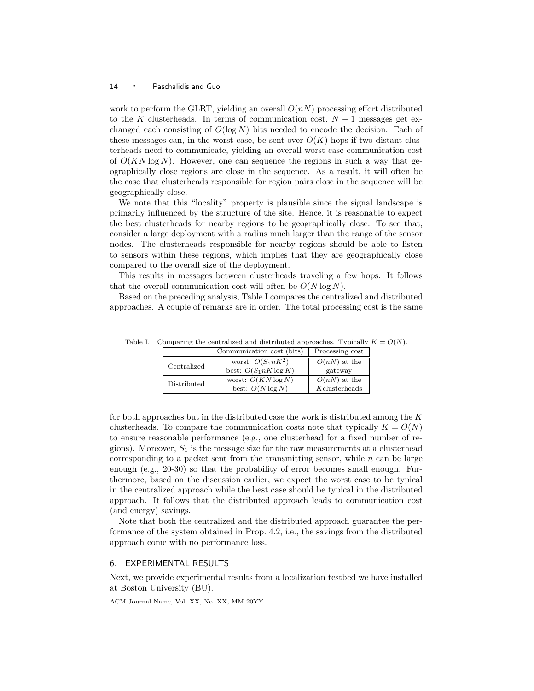work to perform the GLRT, yielding an overall  $O(nN)$  processing effort distributed to the K clusterheads. In terms of communication cost,  $N-1$  messages get exchanged each consisting of  $O(\log N)$  bits needed to encode the decision. Each of these messages can, in the worst case, be sent over  $O(K)$  hops if two distant clusterheads need to communicate, yielding an overall worst case communication cost of  $O(KN \log N)$ . However, one can sequence the regions in such a way that geographically close regions are close in the sequence. As a result, it will often be the case that clusterheads responsible for region pairs close in the sequence will be geographically close.

We note that this "locality" property is plausible since the signal landscape is primarily influenced by the structure of the site. Hence, it is reasonable to expect the best clusterheads for nearby regions to be geographically close. To see that, consider a large deployment with a radius much larger than the range of the sensor nodes. The clusterheads responsible for nearby regions should be able to listen to sensors within these regions, which implies that they are geographically close compared to the overall size of the deployment.

This results in messages between clusterheads traveling a few hops. It follows that the overall communication cost will often be  $O(N \log N)$ .

Based on the preceding analysis, Table I compares the centralized and distributed approaches. A couple of remarks are in order. The total processing cost is the same

|             | Communication cost (bits)                          | Processing cost                 |
|-------------|----------------------------------------------------|---------------------------------|
| Centralized | worst: $O(S_1 n K^2)$<br>best: $O(S_1 n K \log K)$ | $O(nN)$ at the<br>gateway       |
| Distributed | worst: $O(KN \log N)$<br>best: $O(N \log N)$       | $O(nN)$ at the<br>Kclusterheads |

Table I. Comparing the centralized and distributed approaches. Typically  $K = O(N)$ .

for both approaches but in the distributed case the work is distributed among the  $K$ clusterheads. To compare the communication costs note that typically  $K = O(N)$ to ensure reasonable performance (e.g., one clusterhead for a fixed number of regions). Moreover,  $S_1$  is the message size for the raw measurements at a clusterhead corresponding to a packet sent from the transmitting sensor, while  $n$  can be large enough (e.g., 20-30) so that the probability of error becomes small enough. Furthermore, based on the discussion earlier, we expect the worst case to be typical in the centralized approach while the best case should be typical in the distributed approach. It follows that the distributed approach leads to communication cost (and energy) savings.

Note that both the centralized and the distributed approach guarantee the performance of the system obtained in Prop. 4.2, i.e., the savings from the distributed approach come with no performance loss.

#### 6. EXPERIMENTAL RESULTS

Next, we provide experimental results from a localization testbed we have installed at Boston University (BU).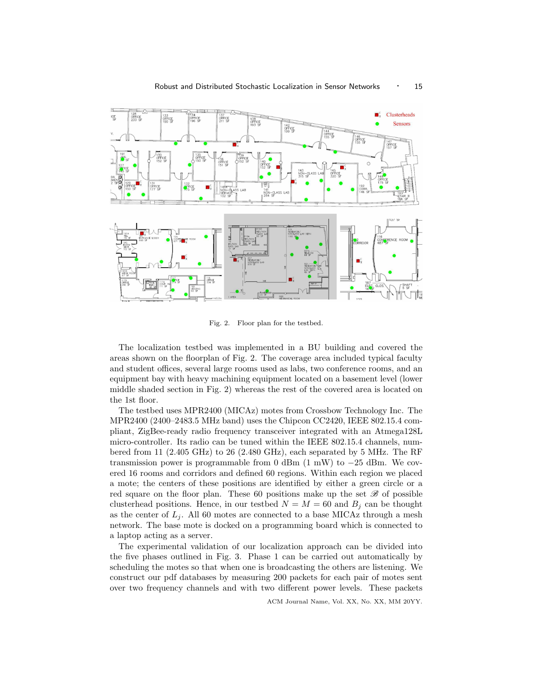

Fig. 2. Floor plan for the testbed.

The localization testbed was implemented in a BU building and covered the areas shown on the floorplan of Fig. 2. The coverage area included typical faculty and student offices, several large rooms used as labs, two conference rooms, and an equipment bay with heavy machining equipment located on a basement level (lower middle shaded section in Fig. 2) whereas the rest of the covered area is located on the 1st floor.

The testbed uses MPR2400 (MICAz) motes from Crossbow Technology Inc. The MPR2400 (2400–2483.5 MHz band) uses the Chipcon CC2420, IEEE 802.15.4 compliant, ZigBee-ready radio frequency transceiver integrated with an Atmega128L micro-controller. Its radio can be tuned within the IEEE 802.15.4 channels, numbered from 11 (2.405 GHz) to 26 (2.480 GHz), each separated by 5 MHz. The RF transmission power is programmable from 0 dBm  $(1 \text{ mW})$  to  $-25 \text{ dBm}$ . We covered 16 rooms and corridors and defined 60 regions. Within each region we placed a mote; the centers of these positions are identified by either a green circle or a red square on the floor plan. These 60 positions make up the set  $\mathscr B$  of possible clusterhead positions. Hence, in our testbed  $N = M = 60$  and  $B_i$  can be thought as the center of  $L_i$ . All 60 motes are connected to a base MICAz through a mesh network. The base mote is docked on a programming board which is connected to a laptop acting as a server.

The experimental validation of our localization approach can be divided into the five phases outlined in Fig. 3. Phase 1 can be carried out automatically by scheduling the motes so that when one is broadcasting the others are listening. We construct our pdf databases by measuring 200 packets for each pair of motes sent over two frequency channels and with two different power levels. These packets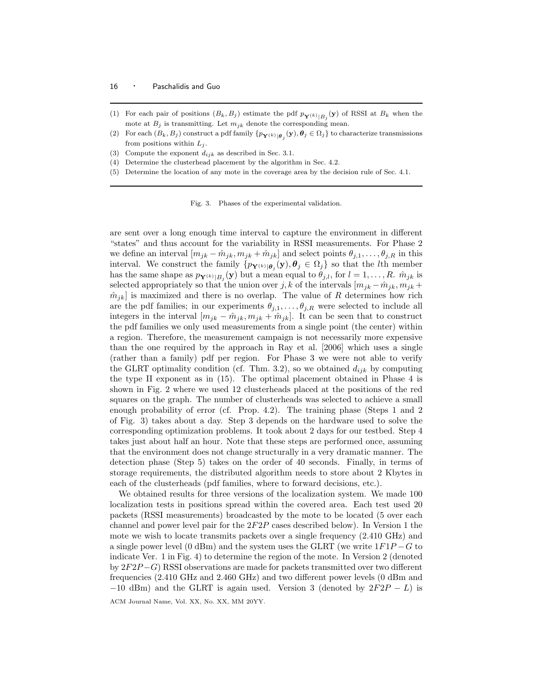- (1) For each pair of positions  $(B_k, B_j)$  estimate the pdf  $p_{\mathbf{Y}^{(k)}|B_j}(\mathbf{y})$  of RSSI at  $B_k$  when the mote at  $B_j$  is transmitting. Let  $m_{jk}$  denote the corresponding mean.
- (2) For each  $(B_k, B_j)$  construct a pdf family  $\{p_{\mathbf{Y}^{(k)}|\theta_j}(\mathbf{y}), \theta_j \in \Omega_j\}$  to characterize transmissions from positions within  $L_j$ .
- (3) Compute the exponent  $d_{ijk}$  as described in Sec. 3.1.
- (4) Determine the clusterhead placement by the algorithm in Sec. 4.2.
- (5) Determine the location of any mote in the coverage area by the decision rule of Sec. 4.1.

Fig. 3. Phases of the experimental validation.

are sent over a long enough time interval to capture the environment in different "states" and thus account for the variability in RSSI measurements. For Phase 2 we define an interval  $[m_{jk} - \hat{m}_{jk}, m_{jk} + \hat{m}_{jk}]$  and select points  $\theta_{j,1}, \ldots, \theta_{j,R}$  in this interval. We construct the family  $\{p_{\mathbf{Y}^{(k)}|\theta_j}(\mathbf{y}), \theta_j \in \Omega_j\}$  so that the *l*th member has the same shape as  $p_{\mathbf{Y}^{(k)}|B_j}(\mathbf{y})$  but a mean equal to  $\theta_{j,l}$ , for  $l = 1, \ldots, R$ .  $\hat{m}_{jk}$  is selected appropriately so that the union over j, k of the intervals  $[m_{jk} - \hat{m}_{jk}, m_{jk} +$  $\hat{m}_{jk}$  is maximized and there is no overlap. The value of R determines how rich are the pdf families; in our experiments  $\theta_{j,1}, \ldots, \theta_{j,R}$  were selected to include all integers in the interval  $[m_{jk} - \hat{m}_{jk}, m_{jk} + \hat{m}_{jk}]$ . It can be seen that to construct the pdf families we only used measurements from a single point (the center) within a region. Therefore, the measurement campaign is not necessarily more expensive than the one required by the approach in Ray et al. [2006] which uses a single (rather than a family) pdf per region. For Phase 3 we were not able to verify the GLRT optimality condition (cf. Thm. 3.2), so we obtained  $d_{ijk}$  by computing the type II exponent as in (15). The optimal placement obtained in Phase 4 is shown in Fig. 2 where we used 12 clusterheads placed at the positions of the red squares on the graph. The number of clusterheads was selected to achieve a small enough probability of error (cf. Prop. 4.2). The training phase (Steps 1 and 2 of Fig. 3) takes about a day. Step 3 depends on the hardware used to solve the corresponding optimization problems. It took about 2 days for our testbed. Step 4 takes just about half an hour. Note that these steps are performed once, assuming that the environment does not change structurally in a very dramatic manner. The detection phase (Step 5) takes on the order of 40 seconds. Finally, in terms of storage requirements, the distributed algorithm needs to store about 2 Kbytes in each of the clusterheads (pdf families, where to forward decisions, etc.).

We obtained results for three versions of the localization system. We made 100 localization tests in positions spread within the covered area. Each test used 20 packets (RSSI measurements) broadcasted by the mote to be located (5 over each channel and power level pair for the  $2F2P$  cases described below). In Version 1 the mote we wish to locate transmits packets over a single frequency (2.410 GHz) and a single power level (0 dBm) and the system uses the GLRT (we write  $1F1P - G$  to indicate Ver. 1 in Fig. 4) to determine the region of the mote. In Version 2 (denoted by  $2F2P - G$ ) RSSI observations are made for packets transmitted over two different frequencies (2.410 GHz and 2.460 GHz) and two different power levels (0 dBm and  $-10$  dBm) and the GLRT is again used. Version 3 (denoted by  $2F2P - L$ ) is ACM Journal Name, Vol. XX, No. XX, MM 20YY.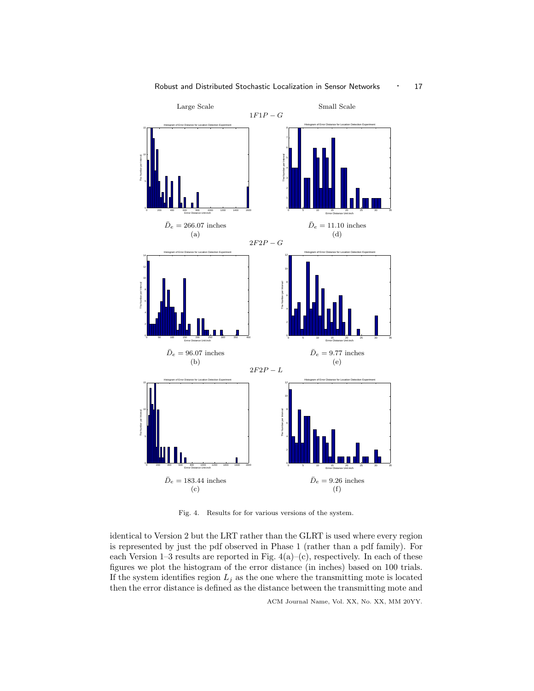

Fig. 4. Results for for various versions of the system.

identical to Version 2 but the LRT rather than the GLRT is used where every region is represented by just the pdf observed in Phase 1 (rather than a pdf family). For each Version 1–3 results are reported in Fig. 4(a)–(c), respectively. In each of these figures we plot the histogram of the error distance (in inches) based on 100 trials. If the system identifies region  $L_j$  as the one where the transmitting mote is located then the error distance is defined as the distance between the transmitting mote and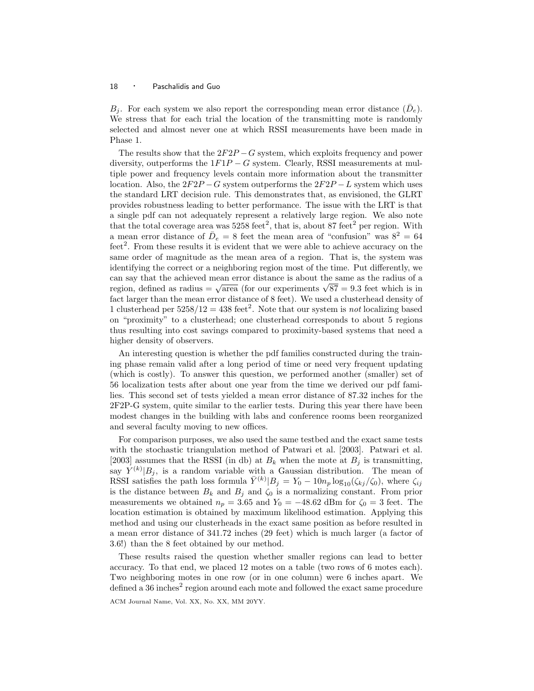$B_j$ . For each system we also report the corresponding mean error distance  $(\bar{D}_e)$ . We stress that for each trial the location of the transmitting mote is randomly selected and almost never one at which RSSI measurements have been made in Phase 1.

The results show that the  $2F2P - G$  system, which exploits frequency and power diversity, outperforms the  $1F1P - G$  system. Clearly, RSSI measurements at multiple power and frequency levels contain more information about the transmitter location. Also, the  $2F2P - G$  system outperforms the  $2F2P - L$  system which uses the standard LRT decision rule. This demonstrates that, as envisioned, the GLRT provides robustness leading to better performance. The issue with the LRT is that a single pdf can not adequately represent a relatively large region. We also note that the total coverage area was  $5258 \text{ feet}^2$ , that is, about  $87 \text{ feet}^2$  per region. With a mean error distance of  $\bar{D}_e = 8$  feet the mean area of "confusion" was  $8^2 = 64$ feet<sup>2</sup>. From these results it is evident that we were able to achieve accuracy on the same order of magnitude as the mean area of a region. That is, the system was identifying the correct or a neighboring region most of the time. Put differently, we can say that the achieved mean error distance is about the same as the radius of a region, defined as radius =  $\sqrt{\text{area}}$  (for our experiments  $\sqrt{87} = 9.3$  feet which is in fact larger than the mean error distance of 8 feet). We used a clusterhead density of 1 clusterhead per  $5258/12 = 438$  feet<sup>2</sup>. Note that our system is *not* localizing based on "proximity" to a clusterhead; one clusterhead corresponds to about 5 regions thus resulting into cost savings compared to proximity-based systems that need a higher density of observers.

An interesting question is whether the pdf families constructed during the training phase remain valid after a long period of time or need very frequent updating (which is costly). To answer this question, we performed another (smaller) set of 56 localization tests after about one year from the time we derived our pdf families. This second set of tests yielded a mean error distance of 87.32 inches for the 2F2P-G system, quite similar to the earlier tests. During this year there have been modest changes in the building with labs and conference rooms been reorganized and several faculty moving to new offices.

For comparison purposes, we also used the same testbed and the exact same tests with the stochastic triangulation method of Patwari et al. [2003]. Patwari et al. [2003] assumes that the RSSI (in db) at  $B_k$  when the mote at  $B_j$  is transmitting, say  $Y^{(k)}|B_j$ , is a random variable with a Gaussian distribution. The mean of RSSI satisfies the path loss formula  $\bar{Y}^{(k)}|B_j = Y_0 - 10n_p \log_{10}(\zeta_{kj}/\zeta_0)$ , where  $\zeta_{ij}$ is the distance between  $B_k$  and  $B_j$  and  $\zeta_0$  is a normalizing constant. From prior measurements we obtained  $n_p = 3.65$  and  $Y_0 = -48.62$  dBm for  $\zeta_0 = 3$  feet. The location estimation is obtained by maximum likelihood estimation. Applying this method and using our clusterheads in the exact same position as before resulted in a mean error distance of 341.72 inches (29 feet) which is much larger (a factor of 3.6!) than the 8 feet obtained by our method.

These results raised the question whether smaller regions can lead to better accuracy. To that end, we placed 12 motes on a table (two rows of 6 motes each). Two neighboring motes in one row (or in one column) were 6 inches apart. We defined a  $36$  inches<sup>2</sup> region around each mote and followed the exact same procedure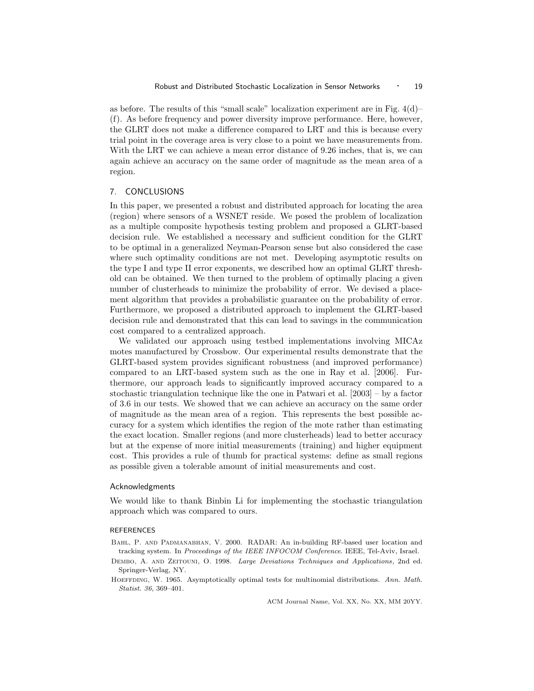as before. The results of this "small scale" localization experiment are in Fig.  $4(d)$ (f). As before frequency and power diversity improve performance. Here, however, the GLRT does not make a difference compared to LRT and this is because every trial point in the coverage area is very close to a point we have measurements from. With the LRT we can achieve a mean error distance of 9.26 inches, that is, we can again achieve an accuracy on the same order of magnitude as the mean area of a region.

# 7. CONCLUSIONS

In this paper, we presented a robust and distributed approach for locating the area (region) where sensors of a WSNET reside. We posed the problem of localization as a multiple composite hypothesis testing problem and proposed a GLRT-based decision rule. We established a necessary and sufficient condition for the GLRT to be optimal in a generalized Neyman-Pearson sense but also considered the case where such optimality conditions are not met. Developing asymptotic results on the type I and type II error exponents, we described how an optimal GLRT threshold can be obtained. We then turned to the problem of optimally placing a given number of clusterheads to minimize the probability of error. We devised a placement algorithm that provides a probabilistic guarantee on the probability of error. Furthermore, we proposed a distributed approach to implement the GLRT-based decision rule and demonstrated that this can lead to savings in the communication cost compared to a centralized approach.

We validated our approach using testbed implementations involving MICAz motes manufactured by Crossbow. Our experimental results demonstrate that the GLRT-based system provides significant robustness (and improved performance) compared to an LRT-based system such as the one in Ray et al. [2006]. Furthermore, our approach leads to significantly improved accuracy compared to a stochastic triangulation technique like the one in Patwari et al. [2003] – by a factor of 3.6 in our tests. We showed that we can achieve an accuracy on the same order of magnitude as the mean area of a region. This represents the best possible accuracy for a system which identifies the region of the mote rather than estimating the exact location. Smaller regions (and more clusterheads) lead to better accuracy but at the expense of more initial measurements (training) and higher equipment cost. This provides a rule of thumb for practical systems: define as small regions as possible given a tolerable amount of initial measurements and cost.

#### Acknowledgments

We would like to thank Binbin Li for implementing the stochastic triangulation approach which was compared to ours.

#### **REFERENCES**

- Bahl, P. and Padmanabhan, V. 2000. RADAR: An in-building RF-based user location and tracking system. In Proceedings of the IEEE INFOCOM Conference. IEEE, Tel-Aviv, Israel.
- Dembo, A. and Zeitouni, O. 1998. Large Deviations Techniques and Applications, 2nd ed. Springer-Verlag, NY.
- HOEFFDING, W. 1965. Asymptotically optimal tests for multinomial distributions. Ann. Math. Statist. 36, 369–401.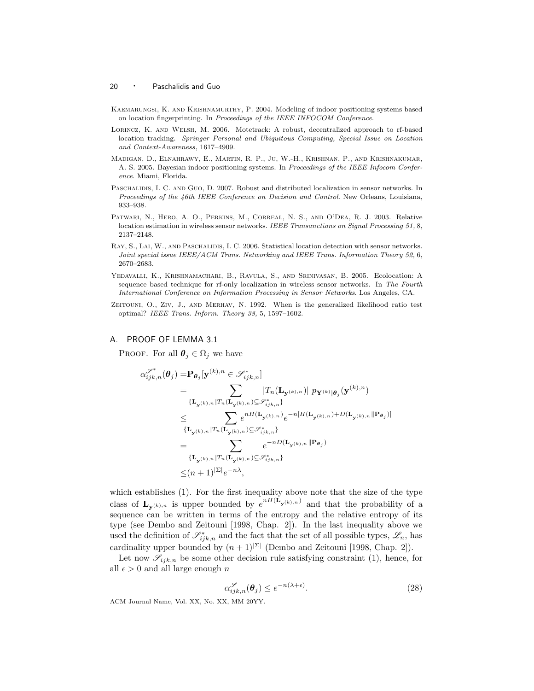- Kaemarungsi, K. and Krishnamurthy, P. 2004. Modeling of indoor positioning systems based on location fingerprinting. In Proceedings of the IEEE INFOCOM Conference.
- Lorincz, K. and Welsh, M. 2006. Motetrack: A robust, decentralized approach to rf-based location tracking. Springer Personal and Ubiquitous Computing, Special Issue on Location and Context-Awareness, 1617–4909.
- Madigan, D., Elnahrawy, E., Martin, R. P., Ju, W.-H., Krishnan, P., and Krishnakumar, A. S. 2005. Bayesian indoor positioning systems. In Proceedings of the IEEE Infocom Conference. Miami, Florida.
- PASCHALIDIS, I. C. AND GUO, D. 2007. Robust and distributed localization in sensor networks. In Proceedings of the 46th IEEE Conference on Decision and Control. New Orleans, Louisiana, 933–938.
- Patwari, N., Hero, A. O., Perkins, M., Correal, N. S., and O'Dea, R. J. 2003. Relative location estimation in wireless sensor networks. IEEE Transanctions on Signal Processing 51, 8, 2137–2148.
- RAY, S., LAI, W., AND PASCHALIDIS, I. C. 2006. Statistical location detection with sensor networks. Joint special issue IEEE/ACM Trans. Networking and IEEE Trans. Information Theory 52, 6, 2670–2683.
- Yedavalli, K., Krishnamachari, B., Ravula, S., and Srinivasan, B. 2005. Ecolocation: A sequence based technique for rf-only localization in wireless sensor networks. In The Fourth International Conference on Information Processing in Sensor Networks. Los Angeles, CA.
- Zeitouni, O., Ziv, J., and Merhav, N. 1992. When is the generalized likelihood ratio test optimal? IEEE Trans. Inform. Theory 38, 5, 1597–1602.

#### A. PROOF OF LEMMA 3.1

α

PROOF. For all  $\theta_i \in \Omega_i$  we have

$$
\begin{aligned} \mathbf{Y}^{\mathscr{S}^*}_{ijk,n}(\pmb{\theta}_j) =& \mathbf{P}_{\pmb{\theta}_j}[\mathbf{y}^{(k),n} \in \mathscr{S}^*_{ijk,n}] \\ =& \sum_{\{\mathbf{L}_{\mathbf{y}(k),n}|T_n(\mathbf{L}_{\mathbf{y}(k),n}) \subseteq \mathscr{S}^*_{ijk,n}\}} |T_n(\mathbf{L}_{\mathbf{y}^{(k),n}})| \ p_{\mathbf{Y}^{(k)}|\pmb{\theta}_j}(\mathbf{y}^{(k),n}) \\ \leq & \sum_{\{\mathbf{L}_{\mathbf{y}(k),n}|T_n(\mathbf{L}_{\mathbf{y}(k),n}) \subseteq \mathscr{S}^*_{ijk,n}\}} e^{-n[H(\mathbf{L}_{\mathbf{y}(k),n}) + D(\mathbf{L}_{\mathbf{y}(k),n} || \mathbf{P}_{\pmb{\theta}_j})]} \\ =& \sum_{\{\mathbf{L}_{\mathbf{y}(k),n}|T_n(\mathbf{L}_{\mathbf{y}(k),n}) \subseteq \mathscr{S}^*_{ijk,n}\}} e^{-nD(\mathbf{L}_{\mathbf{y}(k),n} || \mathbf{P}_{\pmb{\theta}_j})} \\ \leq & (n+1)^{|\Sigma|} e^{-n\lambda}, \end{aligned}
$$

which establishes (1). For the first inequality above note that the size of the type class of  $\mathbf{L}_{\mathbf{y}^{(k)},n}$  is upper bounded by  $e^{nH(\mathbf{L}_{\mathbf{y}^{(k)},n})}$  and that the probability of a sequence can be written in terms of the entropy and the relative entropy of its type (see Dembo and Zeitouni [1998, Chap. 2]). In the last inequality above we used the definition of  $\mathscr{S}_{ijk,n}^*$  and the fact that the set of all possible types,  $\mathscr{L}_n$ , has cardinality upper bounded by  $(n+1)^{|\Sigma|}$  (Dembo and Zeitouni [1998, Chap. 2]).

Let now  $\mathscr{S}_{ijk,n}$  be some other decision rule satisfying constraint (1), hence, for all  $\epsilon > 0$  and all large enough n

$$
\alpha_{ijk,n}^{\mathscr{S}}(\boldsymbol{\theta}_j) \le e^{-n(\lambda + \epsilon)}.
$$
\n(28)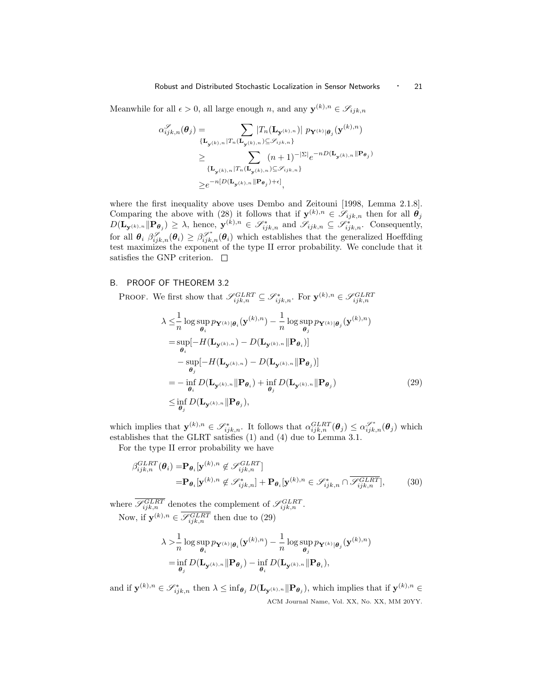# Robust and Distributed Stochastic Localization in Sensor Networks • 21

Meanwhile for all  $\epsilon > 0$ , all large enough n, and any  $\mathbf{y}^{(k),n} \in \mathscr{S}_{ijk,n}$ 

$$
\begin{aligned} \alpha^{\mathscr{S}}_{ijk,n}(\pmb{\theta}_j) &= \sum_{\{\mathbf{L}_{\mathbf{y}^{(k)},n}\mid T_n(\mathbf{L}_{\mathbf{y}^{(k)},n})\mid p_{\mathbf{Y}^{(k)}\mid \pmb{\theta}_j}(\mathbf{y}^{(k),n})} \\ &\geq \sum_{\{\mathbf{L}_{\mathbf{y}^{(k)},n}\mid T_n(\mathbf{L}_{\mathbf{y}^{(k)},n})\subseteq \mathscr{S}_{ijk,n}\}} (n+1)^{-|\Sigma|} e^{-nD(\mathbf{L}_{\mathbf{y}^{(k)},n}\parallel \mathbf{P}_{\pmb{\theta}_j})} \\ &\geq e^{-n[D(\mathbf{L}_{\mathbf{y}^{(k)},n}\parallel \mathbf{P}_{\pmb{\theta}_j})+\epsilon]}, \end{aligned}
$$

where the first inequality above uses Dembo and Zeitouni [1998, Lemma 2.1.8]. Comparing the above with (28) it follows that if  $y^{(k),n} \in \mathscr{S}_{ijk,n}$  then for all  $\theta_j$  $D(\mathbf{L}_{\mathbf{y}^{(k)},n}||\mathbf{P}_{\theta_j}) \geq \lambda$ , hence,  $\mathbf{y}^{(k),n} \in \mathscr{S}_{ijk,n}^*$  and  $\mathscr{S}_{ijk,n} \subseteq \mathscr{S}_{ijk,n}^*$ . Consequently, for all  $\theta_i$   $\beta_{ijk,n}^{\mathscr{S}}(\theta_i) \geq \beta_{ijk,n}^{\mathscr{S}^*}(\theta_i)$  which establishes that the generalized Hoeffding test maximizes the exponent of the type II error probability. We conclude that it satisfies the GNP criterion.  $\square$ 

# B. PROOF OF THEOREM 3.2

PROOF. We first show that  $\mathscr{S}_{ijk,n}^{GLRT} \subseteq \mathscr{S}_{ijk,n}^*$ . For  $\mathbf{y}^{(k),n} \in \mathscr{S}_{ijk,n}^{GLRT}$ 

$$
\lambda \leq \frac{1}{n} \log \sup_{\theta_i} p_{\mathbf{Y}^{(k)}|\theta_i}(\mathbf{y}^{(k),n}) - \frac{1}{n} \log \sup_{\theta_j} p_{\mathbf{Y}^{(k)}|\theta_j}(\mathbf{y}^{(k),n})
$$
  
\n
$$
= \sup_{\theta_i} [-H(\mathbf{L}_{\mathbf{y}^{(k)},n}) - D(\mathbf{L}_{\mathbf{y}^{(k)},n}||\mathbf{P}_{\theta_i})]
$$
  
\n
$$
- \sup_{\theta_j} [-H(\mathbf{L}_{\mathbf{y}^{(k)},n}) - D(\mathbf{L}_{\mathbf{y}^{(k)},n}||\mathbf{P}_{\theta_j})]
$$
  
\n
$$
= - \inf_{\theta_i} D(\mathbf{L}_{\mathbf{y}^{(k)},n}||\mathbf{P}_{\theta_i}) + \inf_{\theta_j} D(\mathbf{L}_{\mathbf{y}^{(k)},n}||\mathbf{P}_{\theta_j})
$$
  
\n
$$
\leq \inf_{\theta_j} D(\mathbf{L}_{\mathbf{y}^{(k)},n}||\mathbf{P}_{\theta_j}),
$$
\n(29)

which implies that  $\mathbf{y}_{(k),n}^{(k),n} \in \mathscr{S}_{ijk,n}^*$ . It follows that  $\alpha_{ijk,n}^{GLRT}(\theta_j) \leq \alpha_{ijk,n}^{\mathscr{S}^*}(\theta_j)$  which establishes that the GLRT satisfies (1) and (4) due to Lemma 3.1.

For the type II error probability we have

$$
\beta_{ijk,n}^{GLRT}(\theta_i) = \mathbf{P}_{\theta_i}[\mathbf{y}^{(k),n} \notin \mathcal{S}_{ijk,n}^{GLRT}]
$$
  
=  $\mathbf{P}_{\theta_i}[\mathbf{y}^{(k),n} \notin \mathcal{S}_{ijk,n}^*] + \mathbf{P}_{\theta_i}[\mathbf{y}^{(k),n} \in \mathcal{S}_{ijk,n}^* \cap \overline{\mathcal{S}_{ijk,n}^{GLRT}}],$  (30)

where  $\overline{\mathscr{S}_{ijk,n}^{GLRT}}$  denotes the complement of  $\mathscr{S}_{ijk,n}^{GLRT}$ . Now, if  $\mathbf{y}^{(k),n} \in \overline{\mathscr{S}_{ijk,n}^{GLRT}}$  then due to (29)

$$
\lambda > \frac{1}{n} \log \sup_{\theta_i} p_{\mathbf{Y}^{(k)}|\theta_i}(\mathbf{y}^{(k),n}) - \frac{1}{n} \log \sup_{\theta_j} p_{\mathbf{Y}^{(k)}|\theta_j}(\mathbf{y}^{(k),n})
$$
  
= 
$$
\inf_{\theta_j} D(\mathbf{L}_{\mathbf{y}^{(k)},n} \|\mathbf{P}_{\theta_j}) - \inf_{\theta_i} D(\mathbf{L}_{\mathbf{y}^{(k)},n} \|\mathbf{P}_{\theta_i}),
$$

and if  $\mathbf{y}^{(k),n} \in \mathscr{S}_{ijk,n}^*$  then  $\lambda \leq \inf_{\theta_j} D(\mathbf{L}_{\mathbf{y}^{(k)},n} \|\mathbf{P}_{\theta_j})$ , which implies that if  $\mathbf{y}^{(k),n} \in$ ACM Journal Name, Vol. XX, No. XX, MM 20YY.